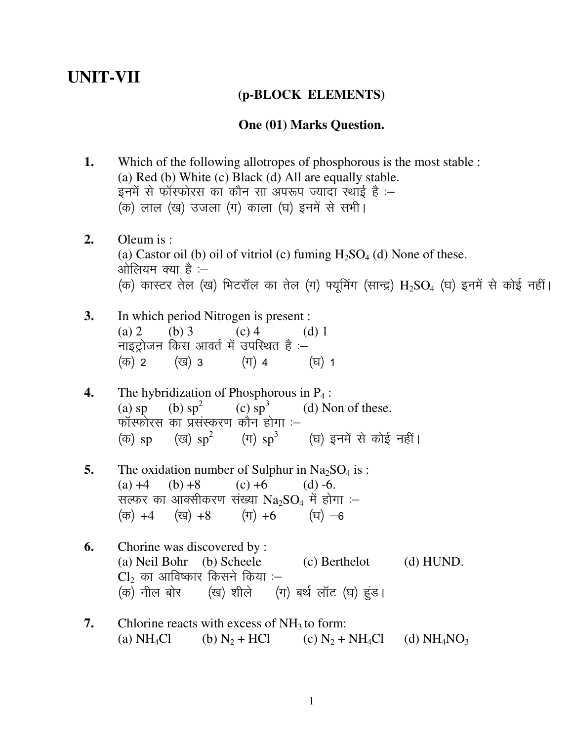# **UNIT-VII**

## **(p-BLOCK ELEMENTS)**

#### **One (01) Marks Question.**

- **1.** Which of the following allotropes of phosphorous is the most stable : (a) Red (b) White (c) Black (d) All are equally stable. इनमें से फॉस्फोरस का कौन सा अपरूप ज्यादा स्थाई है :– (क) लाल (ख) उजला (ग) काला (घ) इनमें से सभी।
- **2.** Oleum is : (a) Castor oil (b) oil of vitriol (c) fuming  $H_2SO_4$  (d) None of these. ओलियम क्या है :– (क) कास्टर तेल (ख) भिटरॉल का तेल (ग) फ्यूमिंग (सान्द्र)  $\rm{H}_{2}SO_{4}$  (घ) इनमें से कोई नहीं।
- **3.** In which period Nitrogen is present : (a) 2 (b) 3 (c) 4 (d) 1 नाइट्रोजन किस आवर्त में उपस्थित है $(\overline{\sigma})$  2  $(\overline{\sigma})$  3  $(\overline{\tau})$  4  $(\overline{\tau})$  1
- **4.** The hybridization of Phosphorous in  $P_4$ :<br>(a) sp (b) sp<sup>2</sup> (c) sp<sup>3</sup> (d) N (b)  $sp<sup>2</sup>$  $(c)$  sp<sup>3</sup> (d) Non of these. फॉस्फोरस का प्रसंस्करण कौन होगा :– (क) sp (ख)  $sp^2$ (ग)  ${\rm sp}^3$   $~~$  (घ) इनमें से कोई नहीं।
- **5.** The oxidation number of Sulphur in  $Na<sub>2</sub>SO<sub>4</sub>$  is : (a)  $+4$  (b)  $+8$  (c)  $+6$  (d) -6. सल्फर का आक्सीकरण संख्या  $Na_2SO_4$  में होगा :- $(\overline{\sigma})$  +4  $(\overline{\sigma})$  +8  $(\overline{\tau})$  +6  $(\overline{\tau})$  -6
- **6.** Chorine was discovered by : (a) Neil Bohr (b) Scheele (c) Berthelot (d) HUND.  $\text{\rm Cl}_2$  का आविष्कार किसने किया :–<br>(क) नील बोर (ख) शीले (ग (ग) बर्थ लॉट (घ) हुंड।
- **7.** Chlorine reacts with excess of  $NH<sub>3</sub>$  to form: (a) NH<sub>4</sub>Cl (b) N<sub>2</sub> + HCl (c) N<sub>2</sub> + NH<sub>4</sub>Cl (d) NH<sub>4</sub>NO<sub>3</sub>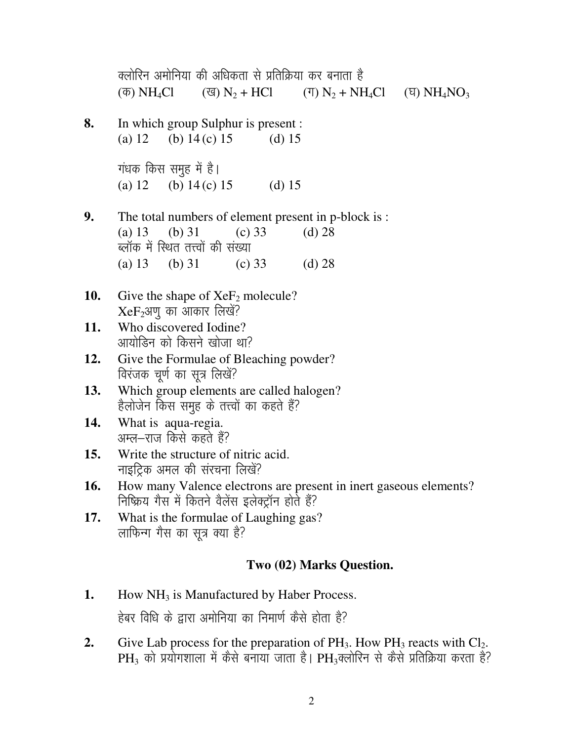|            | क्लोरिन अमोनिया की अधिकता से प्रतिक्रिया कर बनाता है<br>( $\overline{\Phi}$ ) NH <sub>4</sub> Cl ( $\overline{Q}$ ) N <sub>2</sub> + HCl ( $\overline{\eta}$ ) N <sub>2</sub> + NH <sub>4</sub> Cl ( $\overline{q}$ ) NH <sub>4</sub> NO <sub>3</sub> |  |  |  |  |  |  |  |
|------------|-------------------------------------------------------------------------------------------------------------------------------------------------------------------------------------------------------------------------------------------------------|--|--|--|--|--|--|--|
| 8.         | In which group Sulphur is present :<br>(a) 12 (b) 14 (c) 15 (d) 15                                                                                                                                                                                    |  |  |  |  |  |  |  |
|            | गंधक किस समुह में है।<br>(a) 12 (b) $14(c) 15$ (d) 15                                                                                                                                                                                                 |  |  |  |  |  |  |  |
| 9.         | The total numbers of element present in p-block is :<br>(a) 13 (b) 31 (c) 33<br>(d) 28<br>ब्लॉक में रिथत तत्त्वों की संख्या                                                                                                                           |  |  |  |  |  |  |  |
|            | (a) 13 (b) 31 (c) 33 (d) 28                                                                                                                                                                                                                           |  |  |  |  |  |  |  |
| 10.        | Give the shape of $XeF_2$ molecule?<br>$XeF_2$ अणु का आकार लिखें?                                                                                                                                                                                     |  |  |  |  |  |  |  |
| 11.        | Who discovered Iodine?<br>आयोडिन को किसने खोजा था?                                                                                                                                                                                                    |  |  |  |  |  |  |  |
| 12.        | Give the Formulae of Bleaching powder?<br>विरंजक चूर्ण का सूत्र लिखें?                                                                                                                                                                                |  |  |  |  |  |  |  |
| 13.        | Which group elements are called halogen?<br>हैलोजेन किस समुह के तत्त्वों का कहते हैं?                                                                                                                                                                 |  |  |  |  |  |  |  |
| 14.        | What is aqua-regia.<br>अम्ल—राज किसे कहते हैं?                                                                                                                                                                                                        |  |  |  |  |  |  |  |
| <b>15.</b> | Write the structure of nitric acid.<br>नाइट्रिक अमल की संरचना लिखें?                                                                                                                                                                                  |  |  |  |  |  |  |  |
| 16.        | How many Valence electrons are present in inert gaseous elements?<br>निष्क्रिय गैस में कितने वैलेंस इलेक्ट्रॉन होते हैं?                                                                                                                              |  |  |  |  |  |  |  |
| 17.        | What is the formulae of Laughing gas?<br>लाफिन्ग गैस का सूत्र क्या है?                                                                                                                                                                                |  |  |  |  |  |  |  |
|            | Two (02) Marks Question.                                                                                                                                                                                                                              |  |  |  |  |  |  |  |
| 1.         | How $NH3$ is Manufactured by Haber Process.                                                                                                                                                                                                           |  |  |  |  |  |  |  |

- हेबर विधि के द्वारा अमोनिया का निमार्ण कैसे होता है?
- **2.** Give Lab process for the preparation of  $PH_3$ . How  $PH_3$  reacts with  $Cl_2$ .  $\rm PH_{3}$  को प्रयोगशाला में कैसे बनाया जाता है।  $\rm PH_{3}$ क्लोरिन से कैसे प्रतिक्रिया करता है?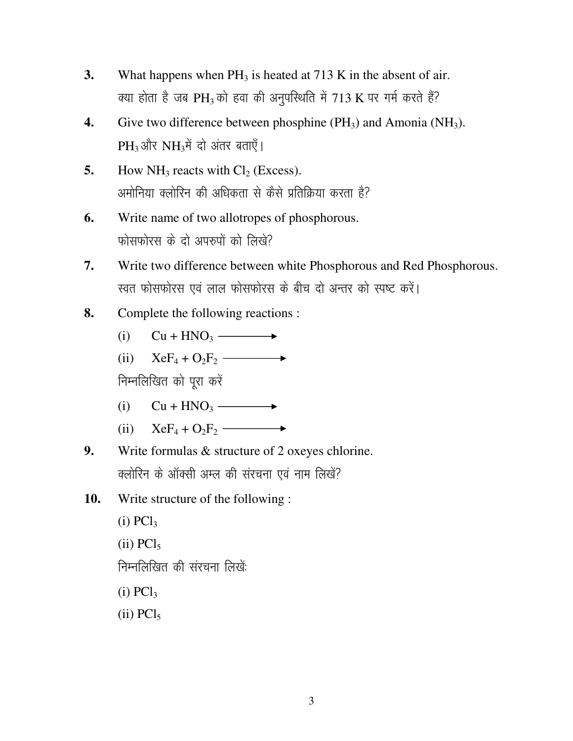- $3.$ What happens when  $PH_3$  is heated at 713 K in the absent of air. क्या होता है जब PH<sub>3</sub> को हवा की अनुपस्थिति में 713 K पर गर्म करते हैं?
- Give two difference between phosphine  $(PH_3)$  and Amonia (NH<sub>3</sub>). 4. PH<sub>3</sub> और NH<sub>3</sub>में दो अंतर बताएँ।
- 5. How  $NH_3$  reacts with  $Cl_2$  (Excess). अमोनिया क्लोरिन की अधिकता से कैसे प्रतिक्रिया करता है?
- Write name of two allotropes of phosphorous. 6. फोसफोरस के दो अपरुपों को लिखें?
- 7. Write two difference between white Phosphorous and Red Phosphorous. स्वत फोसफोरस एवं लाल फोसफोरस के बीच दो अन्तर को स्पष्ट करें।
- Complete the following reactions : 8.
	- $Cu + HNO<sub>3</sub>$   $\longrightarrow$  $(i)$
	- $XeF_4 + O_2F_2$   $\longrightarrow$  $(ii)$

निम्नलिखित को पुरा करें

- $Cu + HNO<sub>3</sub>$   $\longrightarrow$  $(i)$
- $XeF_4 + O_2F_2$   $\longrightarrow$  $(ii)$
- Write formulas & structure of 2 oxeyes chlorine. 9. क्लोरिन के ऑक्सी अम्ल की संरचना एवं नाम लिखें?
- Write structure of the following: 10.

 $(i) PCl<sub>3</sub>$  $(ii)$  PC $l_5$ निम्नलिखित की संरचना लिखें:  $(i) PCl<sub>3</sub>$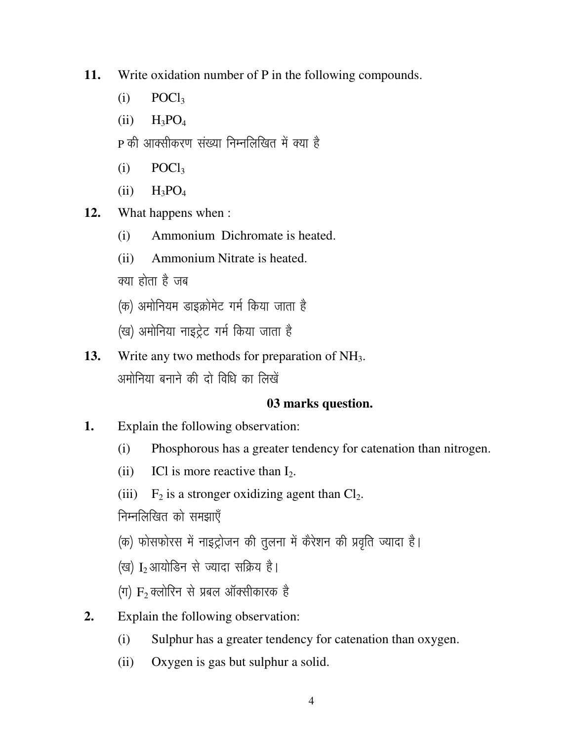- Write oxidation number of P in the following compounds. 11.
	- $(i)$  $POCl<sub>3</sub>$
	- $H_3PO_4$  $(ii)$
	- P की आक्सीकरण संख्या निम्नलिखित में क्या है
	- $(i)$  $POCl<sub>3</sub>$
	- $(ii)$  $H_3PO_4$
- What happens when : 12.
	- $(i)$ Ammonium Dichromate is heated.
	- $(ii)$ Ammonium Nitrate is heated.
	- क्या होता है जब
	- (क) अमोनियम डाइक्रोमेट गर्म किया जाता है
	- (ख) अमोनिया नाइट्रेट गर्म किया जाता है
- 13. Write any two methods for preparation of  $NH<sub>3</sub>$ . अमोनिया बनाने की दो विधि का लिखें

# 03 marks question.

- 1. Explain the following observation:
	- Phosphorous has a greater tendency for catenation than nitrogen.  $(i)$
	- ICI is more reactive than  $I_2$ .  $(ii)$
	- $F_2$  is a stronger oxidizing agent than  $Cl_2$ .  $(iii)$

निम्नलिखित को समझाएँ

- (क) फोसफोरस में नाइट्रोजन की तुलना में कैरेशन की प्रवृति ज्यादा है।
- (ख) I<sub>2</sub> आयोडिन से ज्यादा सक्रिय है।
- (ग)  $F_2$  क्लोरिन से प्रबल ऑक्सीकारक है
- Explain the following observation:  $2.$ 
	- Sulphur has a greater tendency for catenation than oxygen.  $(i)$
	- Oxygen is gas but sulphur a solid.  $(ii)$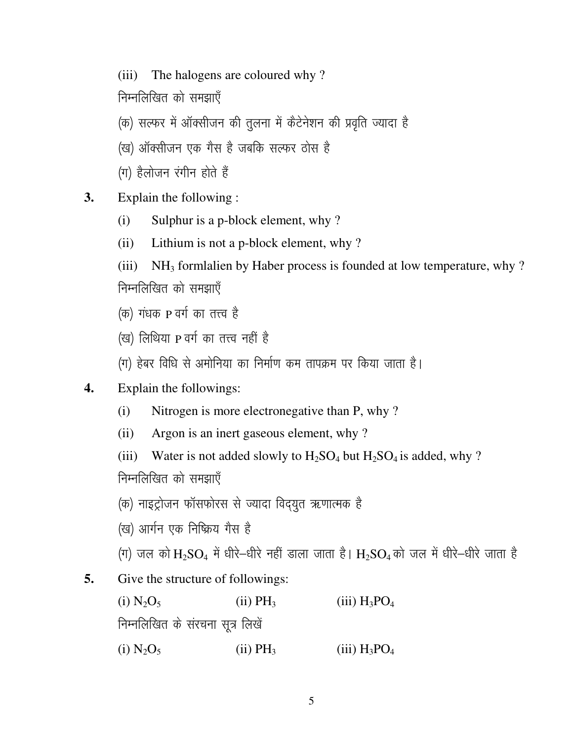(iii) The halogens are coloured why?

निम्नलिखित को समझाएँ

(क) सल्फर में ऑक्सीजन की तुलना में कैटेनेशन की प्रवृति ज्यादा है

- (ख) ऑक्सीजन एक गैस है जबकि सल्फर ठोस है
- $(\pi)$  हैलोजन रंगीन होते हैं
- **3.** Explain the following :
	- (i) Sulphur is a p-block element, why ?
	- (ii) Lithium is not a p-block element, why ?
	- (iii)  $NH<sub>3</sub>$  formlalien by Haber process is founded at low temperature, why ? निम्नलिखित को समझाएँ
	- $(\sigma)$  गंधक P वर्ग का तत्त्व है
	- (ख) लिथिया P वर्ग का तत्त्व नहीं है
	- (ग) हेबर विधि से अमोनिया का निर्माण कम तापक्रम पर किया जाता है।
- **4.** Explain the followings:
	- (i) Nitrogen is more electronegative than P, why ?
	- (ii) Argon is an inert gaseous element, why ?

(iii) Water is not added slowly to  $H_2SO_4$  but  $H_2SO_4$  is added, why ?

निम्नलिखित को समझाएँ

- (क) नाइट्रोजन फॉसफोरस से ज्यादा विद्युत ऋणात्मक है
- (ख) आर्गन एक निष्क्रिय गैस है
- (ग) जल को  $\rm{H_2SO_4}$  में धीरे-धीरे नहीं डाला जाता है।  $\rm{H_2SO_4}$ को जल में धीरे-धीरे जाता है
- **5.** Give the structure of followings:

(i)  $N_2O_5$  (ii)  $PH_3$  (iii)  $H_3PO_4$ निम्नलिखित के संरचना सूत्र लिखें (i)  $N_2O_5$  (ii)  $PH_3$  (iii)  $H_3PO_4$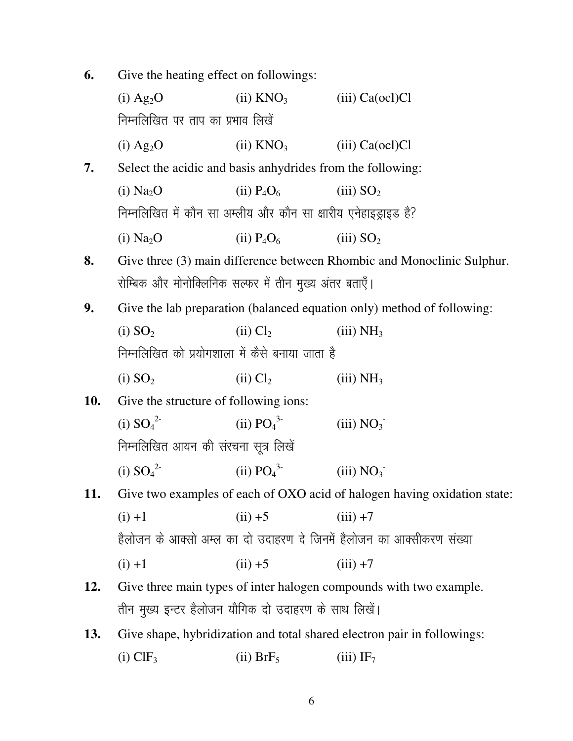| 6. |  | Give the heating effect on followings: |
|----|--|----------------------------------------|

|            | $(i)$ Ag <sub>2</sub> O                                                 | $(ii)$ KNO <sub>3</sub> | $(iii)$ Ca $(oc1)$ Cl                                                    |  |  |  |  |  |
|------------|-------------------------------------------------------------------------|-------------------------|--------------------------------------------------------------------------|--|--|--|--|--|
|            | निम्नलिखित पर ताप का प्रभाव लिखें                                       |                         |                                                                          |  |  |  |  |  |
|            | $(i)$ Ag <sub>2</sub> O                                                 | $(ii)$ KNO <sub>3</sub> | $(iii)$ Ca $(oc1)$ Cl                                                    |  |  |  |  |  |
| 7.         | Select the acidic and basis anhydrides from the following:              |                         |                                                                          |  |  |  |  |  |
|            | (i) Na <sub>2</sub> O                                                   | $(ii)$ $P_4O_6$         | (iii) SO <sub>2</sub>                                                    |  |  |  |  |  |
|            | निम्नलिखित में कौन सा अम्लीय और कौन सा क्षारीय एनेहाइड्राइड है?         |                         |                                                                          |  |  |  |  |  |
|            | (i) Na <sub>2</sub> O                                                   | $(ii)$ $P_4O_6$         | (iii) SO <sub>2</sub>                                                    |  |  |  |  |  |
| 8.         | Give three (3) main difference between Rhombic and Monoclinic Sulphur.  |                         |                                                                          |  |  |  |  |  |
|            | रोम्बिक और मोनोक्लिनिक सल्फर में तीन मुख्य अंतर बताएँ।                  |                         |                                                                          |  |  |  |  |  |
| 9.         | Give the lab preparation (balanced equation only) method of following:  |                         |                                                                          |  |  |  |  |  |
|            | (i) SO <sub>2</sub>                                                     | $(ii)$ $Cl2$            | (iii) NH <sub>3</sub>                                                    |  |  |  |  |  |
|            | निम्नलिखित को प्रयोगशाला में कैसे बनाया जाता है                         |                         |                                                                          |  |  |  |  |  |
|            | (i) SO <sub>2</sub>                                                     | (ii) Cl <sub>2</sub>    | (iii) NH <sub>3</sub>                                                    |  |  |  |  |  |
| <b>10.</b> | Give the structure of following ions:                                   |                         |                                                                          |  |  |  |  |  |
|            | (i) $SO_4^2$                                                            | (ii) $PO_4^{3-}$        | (iii) NO <sub>3</sub>                                                    |  |  |  |  |  |
|            | निम्नलिखित आयन की संरचना सूत्र लिखें                                    |                         |                                                                          |  |  |  |  |  |
|            | (i) $SO_4^2$                                                            | (ii) $PO_4^3$           | (iii) NO <sub>3</sub>                                                    |  |  |  |  |  |
| 11.        |                                                                         |                         | Give two examples of each of OXO acid of halogen having oxidation state: |  |  |  |  |  |
|            | $(i) + 1$                                                               | $(ii) +5$               | $(iii) +7$                                                               |  |  |  |  |  |
|            | हैलोजन के आक्सो अम्ल का दो उदाहरण दे जिनमें हैलोजन का आक्सीकरण संख्या   |                         |                                                                          |  |  |  |  |  |
|            | $(i) + 1$                                                               | $(ii) +5$               | $(iii) +7$                                                               |  |  |  |  |  |
| 12.        |                                                                         |                         | Give three main types of inter halogen compounds with two example.       |  |  |  |  |  |
|            | तीन मुख्य इन्टर हैलोजन यौगिक दो उदाहरण के साथ लिखें।                    |                         |                                                                          |  |  |  |  |  |
| 13.        | Give shape, hybridization and total shared electron pair in followings: |                         |                                                                          |  |  |  |  |  |
|            | $(i)$ ClF <sub>3</sub>                                                  | $(ii)$ BrF <sub>5</sub> | $(iii)$ IF <sub>7</sub>                                                  |  |  |  |  |  |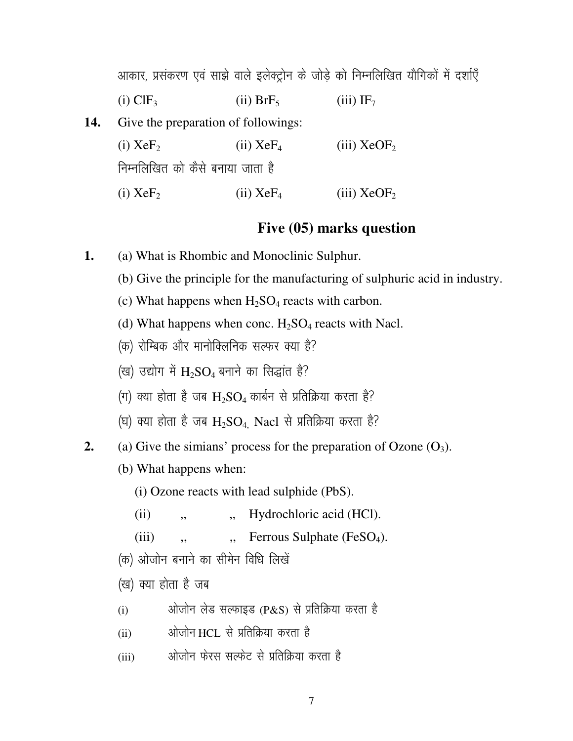|     |                                     |                         | आकार, प्रसंकरण एवं साझे वाले इलेक्ट्रोन के जोड़े को निम्नलिखित यौगिकों में दर्शाएँ |  |  |  |  |
|-----|-------------------------------------|-------------------------|------------------------------------------------------------------------------------|--|--|--|--|
|     | $(i)$ ClF <sub>3</sub>              | $(ii)$ BrF <sub>5</sub> | $(iii)$ IF <sub>7</sub>                                                            |  |  |  |  |
| 14. | Give the preparation of followings: |                         |                                                                                    |  |  |  |  |
|     | $(i)$ XeF <sub>2</sub>              | $(ii)$ XeF <sub>4</sub> | $(iii)$ XeOF <sub>2</sub>                                                          |  |  |  |  |
|     | निम्नलिखित को कैसे बनाया जाता है    |                         |                                                                                    |  |  |  |  |
|     | $(i)$ XeF <sub>2</sub>              | $(ii)$ XeF <sub>4</sub> | (iii) $XeOF2$                                                                      |  |  |  |  |

## Five (05) marks question

- 1. (a) What is Rhombic and Monoclinic Sulphur.
	- (b) Give the principle for the manufacturing of sulphuric acid in industry.
	- (c) What happens when  $H_2SO_4$  reacts with carbon.
	- (d) What happens when conc.  $H_2SO_4$  reacts with Nacl.
	- (क) रोम्बिक और मानोक्लिनिक सल्फर क्या है?
	- (ख) उद्योग में  $H_2SO_4$  बनाने का सिद्धांत है?
	- (ग) क्या होता है जब  $H_2SO_4$  कार्बन से प्रतिक्रिया करता है?
	- (घ) क्या होता है जब  $H_2SO_4$ . Nacl से प्रतिक्रिया करता है?
- (a) Give the similarly process for the preparation of Ozone  $(O_3)$ .  $2.$ 
	- (b) What happens when:
		- (i) Ozone reacts with lead sulphide (PbS).
		- Hydrochloric acid (HCl).  $(ii)$  $,$
		- Ferrous Sulphate (FeSO<sub>4</sub>).  $(iii)$  $\ddot{\phantom{0}}$  $,$
	- (क) ओजोन बनाने का सीमेन विधि लिखें
	- (ख) क्या होता है जब
	- ओजोन लेड सल्फाइड (P&S) से प्रतिक्रिया करता है  $(i)$
	- ओजोन HCL, से प्रतिक्रिया करता है  $(ii)$
	- ओजोन फेरस सल्फेट से प्रतिक्रिया करता है  $(iii)$